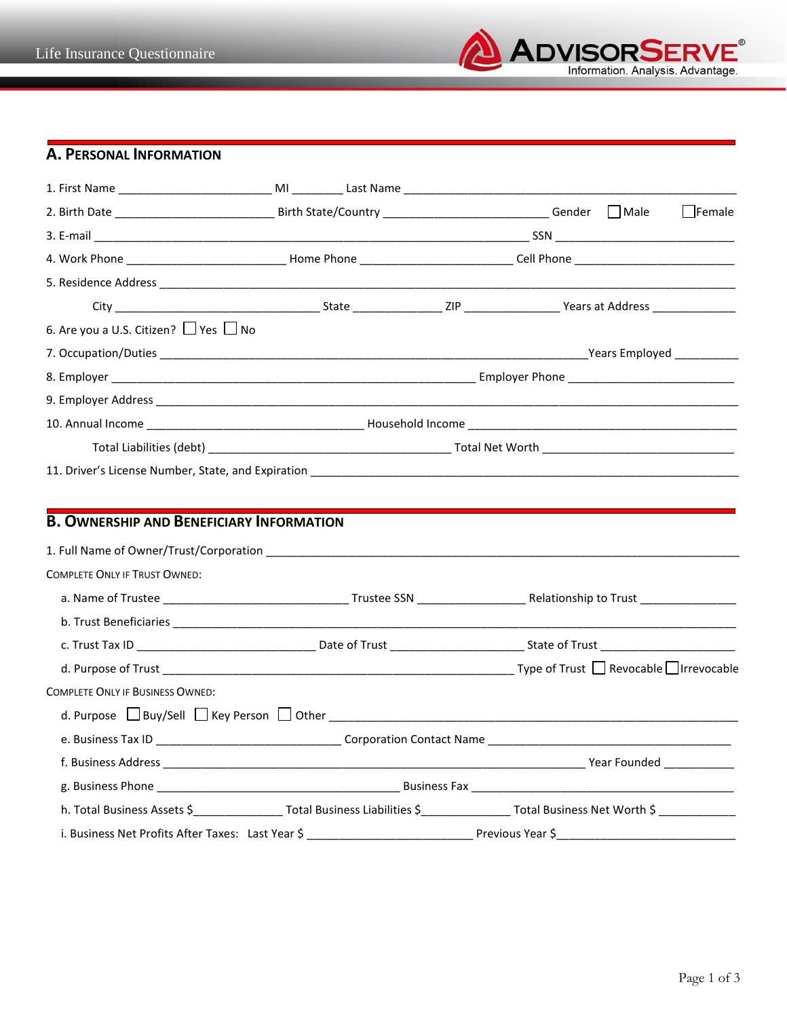

## **A. PERSONAL INFORMATION**

| 6. Are you a U.S. Citizen? □ Yes □ No                     |  |                                                                                                                                           |
|-----------------------------------------------------------|--|-------------------------------------------------------------------------------------------------------------------------------------------|
|                                                           |  |                                                                                                                                           |
|                                                           |  |                                                                                                                                           |
|                                                           |  |                                                                                                                                           |
|                                                           |  |                                                                                                                                           |
|                                                           |  |                                                                                                                                           |
|                                                           |  |                                                                                                                                           |
|                                                           |  |                                                                                                                                           |
| <b>B. OWNERSHIP AND BENEFICIARY INFORMATION</b>           |  |                                                                                                                                           |
|                                                           |  |                                                                                                                                           |
| <b>COMPLETE ONLY IF TRUST OWNED:</b>                      |  |                                                                                                                                           |
|                                                           |  |                                                                                                                                           |
|                                                           |  |                                                                                                                                           |
|                                                           |  |                                                                                                                                           |
|                                                           |  |                                                                                                                                           |
| <b>COMPLETE ONLY IF BUSINESS OWNED:</b>                   |  |                                                                                                                                           |
| d. Purpose $\Box$ Buy/Sell $\Box$ Key Person $\Box$ Other |  |                                                                                                                                           |
|                                                           |  | e. Business Tax ID _________________________________Corporation Contact Name _________________________________                            |
|                                                           |  |                                                                                                                                           |
|                                                           |  |                                                                                                                                           |
|                                                           |  | h. Total Business Assets \$___________________Total Business Liabilities \$___________________Total Business Net Worth \$ _______________ |
|                                                           |  |                                                                                                                                           |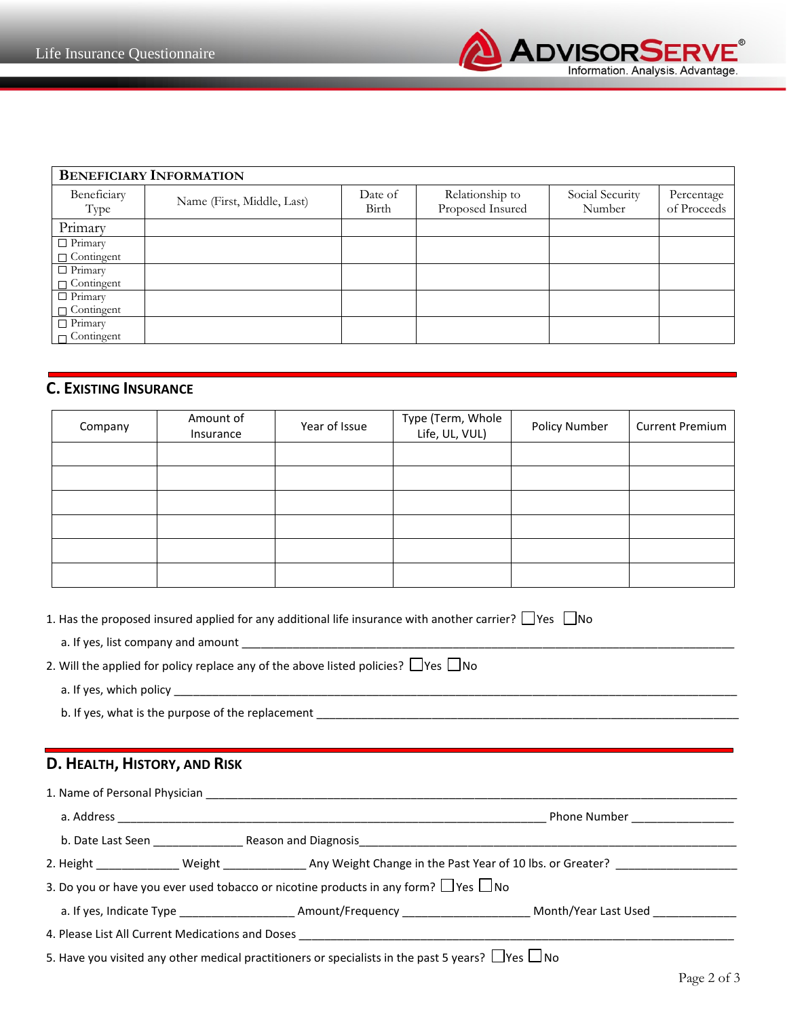

| <b>BENEFICIARY INFORMATION</b> |                            |                  |                                     |                           |                           |  |
|--------------------------------|----------------------------|------------------|-------------------------------------|---------------------------|---------------------------|--|
| Beneficiary<br>Type            | Name (First, Middle, Last) | Date of<br>Birth | Relationship to<br>Proposed Insured | Social Security<br>Number | Percentage<br>of Proceeds |  |
| Primary                        |                            |                  |                                     |                           |                           |  |
| $\Box$ Primary                 |                            |                  |                                     |                           |                           |  |
| $\Box$ Contingent              |                            |                  |                                     |                           |                           |  |
| $\Box$ Primary                 |                            |                  |                                     |                           |                           |  |
| $\Box$ Contingent              |                            |                  |                                     |                           |                           |  |
| $\Box$ Primary                 |                            |                  |                                     |                           |                           |  |
| $\Box$ Contingent              |                            |                  |                                     |                           |                           |  |
| $\Box$ Primary                 |                            |                  |                                     |                           |                           |  |
| $\Box$ Contingent              |                            |                  |                                     |                           |                           |  |

## **C. EXISTING INSURANCE**

| Company | Amount of<br>Insurance | Year of Issue | Type (Term, Whole<br>Life, UL, VUL) | Policy Number | <b>Current Premium</b> |
|---------|------------------------|---------------|-------------------------------------|---------------|------------------------|
|         |                        |               |                                     |               |                        |
|         |                        |               |                                     |               |                        |
|         |                        |               |                                     |               |                        |
|         |                        |               |                                     |               |                        |
|         |                        |               |                                     |               |                        |
|         |                        |               |                                     |               |                        |

|                              | 1. Has the proposed insured applied for any additional life insurance with another carrier? $\Box$ Yes $\Box$ No |                                                                                                                                         |
|------------------------------|------------------------------------------------------------------------------------------------------------------|-----------------------------------------------------------------------------------------------------------------------------------------|
|                              |                                                                                                                  |                                                                                                                                         |
|                              | 2. Will the applied for policy replace any of the above listed policies? $\Box$ Yes $\Box$ No                    |                                                                                                                                         |
|                              |                                                                                                                  |                                                                                                                                         |
|                              |                                                                                                                  |                                                                                                                                         |
|                              |                                                                                                                  |                                                                                                                                         |
| D. HEALTH, HISTORY, AND RISK |                                                                                                                  |                                                                                                                                         |
|                              |                                                                                                                  |                                                                                                                                         |
|                              |                                                                                                                  |                                                                                                                                         |
|                              |                                                                                                                  |                                                                                                                                         |
|                              |                                                                                                                  | 2. Height ________________ Weight ________________ Any Weight Change in the Past Year of 10 lbs. or Greater? __________________________ |
|                              | 3. Do you or have you ever used tobacco or nicotine products in any form? $\Box$ Yes $\Box$ No                   |                                                                                                                                         |
|                              |                                                                                                                  |                                                                                                                                         |
|                              |                                                                                                                  |                                                                                                                                         |
|                              | - 1990년 10월 10일 - 1991년 1월 19일 - 1991년 1월 19일 - 1992년 1월 19일 - 1992년 1월 19일 - 1992년 10월 10일 - 1992년 10월 10일 - 1  |                                                                                                                                         |

5. Have you visited any other medical practitioners or specialists in the past 5 years?  $\Box$  Yes  $\Box$  No